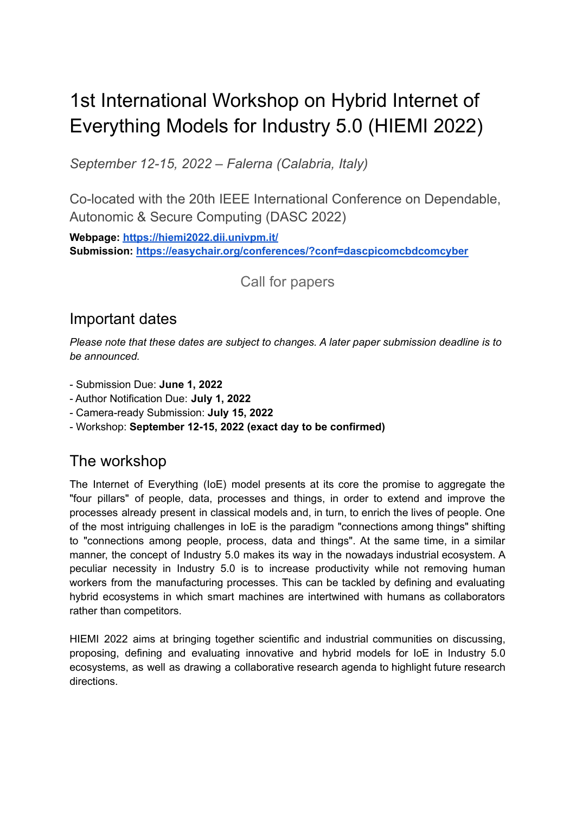# 1st International Workshop on Hybrid Internet of Everything Models for Industry 5.0 (HIEMI 2022)

*September 12-15, 2022 – Falerna (Calabria, Italy)*

Co-located with the 20th IEEE International Conference on Dependable, Autonomic & Secure Computing (DASC 2022)

**Webpage: <https://hiemi2022.dii.univpm.it/> Submission: <https://easychair.org/conferences/?conf=dascpicomcbdcomcyber>**

Call for papers

#### Important dates

*Please note that these dates are subject to changes. A later paper submission deadline is to be announced.*

- Submission Due: **June 1, 2022**
- Author Notification Due: **July 1, 2022**
- Camera-ready Submission: **July 15, 2022**
- Workshop: **September 12-15, 2022 (exact day to be confirmed)**

## The workshop

The Internet of Everything (IoE) model presents at its core the promise to aggregate the "four pillars" of people, data, processes and things, in order to extend and improve the processes already present in classical models and, in turn, to enrich the lives of people. One of the most intriguing challenges in IoE is the paradigm "connections among things" shifting to "connections among people, process, data and things". At the same time, in a similar manner, the concept of Industry 5.0 makes its way in the nowadays industrial ecosystem. A peculiar necessity in Industry 5.0 is to increase productivity while not removing human workers from the manufacturing processes. This can be tackled by defining and evaluating hybrid ecosystems in which smart machines are intertwined with humans as collaborators rather than competitors.

HIEMI 2022 aims at bringing together scientific and industrial communities on discussing, proposing, defining and evaluating innovative and hybrid models for IoE in Industry 5.0 ecosystems, as well as drawing a collaborative research agenda to highlight future research directions.